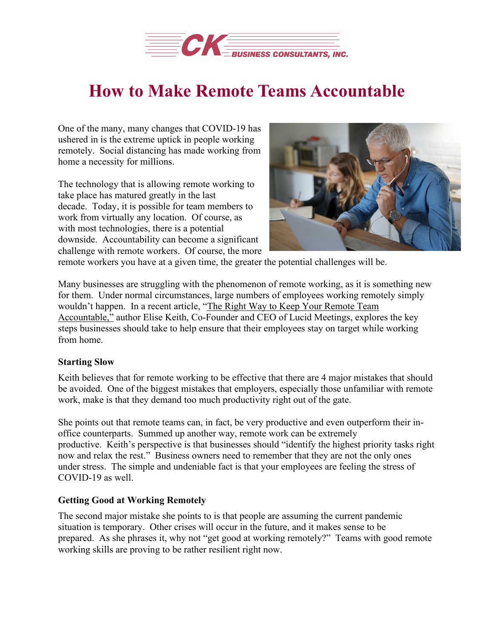

# **How to Make Remote Teams Accountable**

One of the many, many changes that COVID-19 has ushered in is the extreme uptick in people working remotely. Social distancing has made working from home a necessity for millions.

The technology that is allowing remote working to take place has matured greatly in the last decade. Today, it is possible for team members to work from virtually any location. Of course, as with most technologies, there is a potential downside. Accountability can become a significant challenge with remote workers. Of course, the more



remote workers you have at a given time, the greater the potential challenges will be.

Many businesses are struggling with the phenomenon of remote working, as it is something new for them. Under normal circumstances, large numbers of employees working remotely simply wouldn't happen. In a recent article, "The Right Way to Keep Your [Remote](https://www.inc.com/jelise-keith/the-right-way-to-keep-your-remote-team-accountable.html) Team [Accountable,"](https://www.inc.com/jelise-keith/the-right-way-to-keep-your-remote-team-accountable.html) author Elise Keith, Co-Founder and CEO of Lucid Meetings, explores the key steps businesses should take to help ensure that their employees stay on target while working from home.

## **Starting Slow**

Keith believes that for remote working to be effective that there are 4 major mistakes that should be avoided. One of the biggest mistakes that employers, especially those unfamiliar with remote work, make is that they demand too much productivity right out of the gate.

She points out that remote teams can, in fact, be very productive and even outperform their inoffice counterparts. Summed up another way, remote work can be extremely productive. Keith's perspective is that businesses should "identify the highest priority tasks right now and relax the rest." Business owners need to remember that they are not the only ones under stress. The simple and undeniable fact is that your employees are feeling the stress of COVID-19 as well.

#### **Getting Good at Working Remotely**

The second major mistake she points to is that people are assuming the current pandemic situation is temporary. Other crises will occur in the future, and it makes sense to be prepared. As she phrases it, why not "get good at working remotely?" Teams with good remote working skills are proving to be rather resilient right now.